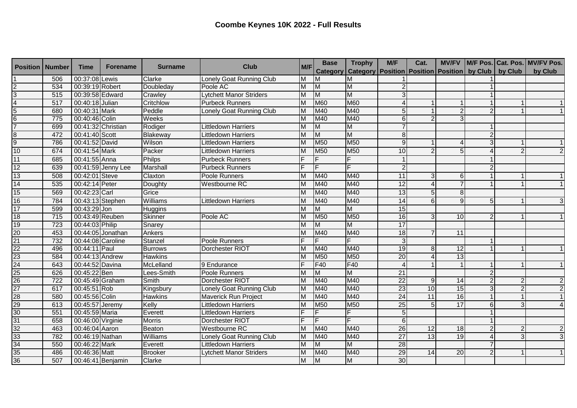| <b>Position   Number</b>                                |     | Time              | <b>Forename</b>    | <b>Surname</b> | <b>Club</b>                    | M/F | <b>Base</b>    | <b>Trophy</b>                                                            | M/F             | Cat.           |    |                |                | MV/FV M/F Pos. Cat. Pos. MV/FV Pos. |
|---------------------------------------------------------|-----|-------------------|--------------------|----------------|--------------------------------|-----|----------------|--------------------------------------------------------------------------|-----------------|----------------|----|----------------|----------------|-------------------------------------|
|                                                         |     |                   |                    |                |                                |     |                | Category   Category   Position   Position   Position   by Club   by Club |                 |                |    |                |                | by Club                             |
|                                                         | 506 | 00:37:08 Lewis    |                    | Clarke         | Lonely Goat Running Club       | M   | M              | ΙM                                                                       |                 |                |    |                |                |                                     |
| $\frac{2}{3}$ $\frac{3}{4}$ $\frac{4}{5}$ $\frac{6}{7}$ | 534 | 00:39:19 Robert   |                    | Doubleday      | Poole AC                       | M   | $\overline{M}$ | M                                                                        |                 |                |    |                |                |                                     |
|                                                         | 515 | 00:39:58 Edward   |                    | Crawley        | <b>Lytchett Manor Striders</b> | M   | $\overline{M}$ | M                                                                        |                 |                |    |                |                |                                     |
|                                                         | 517 | 00:40:18 Julian   |                    | Critchlow      | <b>Purbeck Runners</b>         | M   | <b>M60</b>     | M60                                                                      |                 |                |    |                |                |                                     |
|                                                         | 680 | 00:40:31 Mark     |                    | Peddle         | Lonely Goat Running Club       | M   | M40            | M40                                                                      | 5               |                |    |                |                |                                     |
|                                                         | 775 | 00:40:46 Colin    |                    | Weeks          |                                | M   | M40            | M40                                                                      | 6               | $\mathcal{P}$  |    |                |                |                                     |
|                                                         | 699 |                   | 00:41:32 Christian | Rodiger        | Littledown Harriers            | M   | M              | M                                                                        |                 |                |    |                |                |                                     |
|                                                         | 472 | 00:41:40 Scott    |                    | Blakeway       | Littledown Harriers            | M   | M              | M                                                                        | 8 <sup>1</sup>  |                |    |                |                |                                     |
| $\frac{8}{9}$                                           | 786 | 00:41:52 David    |                    | Wilson         | Littledown Harriers            | M   | M50            | M50                                                                      | 9               |                |    |                |                |                                     |
| 10                                                      | 674 | 00:41:54 Mark     |                    | Packer         | <b>Littledown Harriers</b>     | M   | <b>M50</b>     | M50                                                                      | 10              |                |    |                | 2              | 2                                   |
| 11                                                      | 685 | 00:41:55 Anna     |                    | Philps         | <b>Purbeck Runners</b>         |     |                |                                                                          |                 |                |    |                |                |                                     |
| 12                                                      | 639 |                   | 00:41:59 Jenny Lee | Marshall       | <b>Purbeck Runners</b>         |     | F              |                                                                          | $\overline{c}$  |                |    |                |                |                                     |
| 13                                                      | 508 | 00:42:01 Steve    |                    | Claxton        | Poole Runners                  | M   | M40            | M40                                                                      | 11              | 3              |    |                |                | 1                                   |
| 14                                                      | 535 | 00:42:14 Peter    |                    | Doughty        | <b>Westbourne RC</b>           | M   | M40            | M40                                                                      | 12              |                |    |                |                | 1                                   |
| 15                                                      | 569 | 00:42:23 Carl     |                    | Grice          |                                | M   | M40            | M40                                                                      | 13              | 5 <sup>1</sup> |    |                |                |                                     |
| 16                                                      | 784 | 00:43:13 Stephen  |                    | Williams       | <b>Littledown Harriers</b>     | M   | M40            | M40                                                                      | 14              | 6              | a  | 5 <sub>l</sub> |                | 3                                   |
| 17                                                      | 599 | 00:43:29 Jon      |                    | Huggins        |                                | M   | M              | M                                                                        | 15              |                |    |                |                |                                     |
| 18                                                      | 715 | 00:43:49 Reuben   |                    | <b>Skinner</b> | Poole AC                       | M   | <b>M50</b>     | M50                                                                      | 16              | 31             | 10 |                |                |                                     |
| 19                                                      | 723 | 00:44:03 Philip   |                    | Snarey         |                                | M   | M              | M                                                                        | 17              |                |    |                |                |                                     |
|                                                         | 453 |                   | 00:44:05 Jonathan  | Ankers         |                                | M   | M40            | M40                                                                      | $\overline{18}$ |                | 11 |                |                |                                     |
|                                                         | 732 | 00:44:08 Caroline |                    | Stanzel        | Poole Runners                  |     | F              | F                                                                        | 3               |                |    |                |                |                                     |
|                                                         | 496 | 00:44:11 Paul     |                    | <b>Burrows</b> | Dorchester RIOT                | M   | M40            | M40                                                                      | 19              | 8              | 12 |                |                |                                     |
|                                                         | 584 | 00:44:13 Andrew   |                    | <b>Hawkins</b> |                                | M   | M50            | M50                                                                      | 20              |                | 13 |                |                |                                     |
|                                                         | 643 | 00:44:52 Davina   |                    | McLelland      | 9 Endurance                    |     | F40            | F40                                                                      | 4               |                |    |                |                | 1                                   |
|                                                         | 626 | 00:45:22 Ben      |                    | Lees-Smith     | Poole Runners                  | M   | M              | M                                                                        | 21              |                |    |                |                |                                     |
|                                                         | 722 | 00:45:49 Graham   |                    | Smith          | Dorchester RIOT                | M   | M40            | M40                                                                      | $\overline{22}$ | 9              | 14 |                | $\overline{2}$ | $\mathbf{2}$                        |
|                                                         | 617 | 00:45:51 Rob      |                    | Kingsbury      | Lonely Goat Running Club       | M   | M40            | M40                                                                      | 23              | 10             | 15 |                | $\overline{2}$ | $\overline{2}$                      |
|                                                         | 580 | 00:45:56 Colin    |                    | Hawkins        | Maverick Run Project           | M   | M40            | M40                                                                      | $\overline{24}$ | 11             | 16 |                |                | 1                                   |
|                                                         | 613 | 00:45:57 Jeremy   |                    | Kelly          | Littledown Harriers            | M   | M50            | M50                                                                      | $\overline{25}$ | 5 <sub>l</sub> | 17 | 6              | 3              |                                     |
|                                                         | 551 | 00:45:59 Maria    |                    | Everett        | Littledown Harriers            |     | F              | F                                                                        | 5               |                |    |                |                |                                     |
|                                                         | 658 | 00:46:00 Virginie |                    | <b>Morris</b>  | Dorchester RIOT                |     | F              | F                                                                        | 6 <sup>1</sup>  |                |    |                |                |                                     |
|                                                         | 463 | 00:46:04 Aaron    |                    | Beaton         | <b>Westbourne RC</b>           | M   | M40            | M40                                                                      | $\overline{26}$ | 12             | 18 |                | 2              | $\overline{2}$                      |
|                                                         | 782 | 00:46:19 Nathan   |                    | Williams       | Lonely Goat Running Club       | M   | M40            | M40                                                                      | $\overline{27}$ | 13             | 19 |                | 3              | 3                                   |
|                                                         | 550 | 00:46:22 Mark     |                    | Everett        | Littledown Harriers            | M   | M              | M                                                                        | $\overline{28}$ |                |    |                |                |                                     |
|                                                         | 486 | 00:46:36 Matt     |                    | <b>Brooker</b> | Lytchett Manor Striders        | M   | M40            | M40                                                                      | 29              | 14             | 20 |                |                | 1                                   |
|                                                         | 507 |                   | 00:46:41 Benjamin  | Clarke         |                                | M   | $\overline{M}$ | M                                                                        | 30              |                |    |                |                |                                     |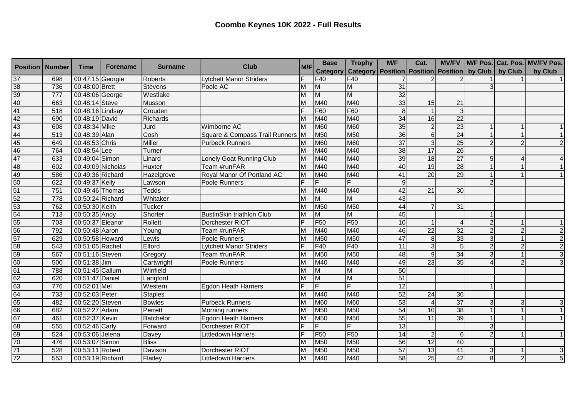| <b>Position   Number</b>                                                                                        |                  | <b>Time</b>       | <b>Forename</b> | <b>Surname</b>   | <b>Club</b>                      | M/F | <b>Base</b>     | <b>Trophy</b>                                                        | M/F             | Cat.            |                 |   |                | MV/FV   M/F Pos.   Cat. Pos.   MV/FV Pos. |
|-----------------------------------------------------------------------------------------------------------------|------------------|-------------------|-----------------|------------------|----------------------------------|-----|-----------------|----------------------------------------------------------------------|-----------------|-----------------|-----------------|---|----------------|-------------------------------------------|
|                                                                                                                 |                  |                   |                 |                  |                                  |     | <b>Category</b> | <b>Category   Position   Position   Position   by Club   by Club</b> |                 |                 |                 |   |                | by Club                                   |
|                                                                                                                 | 698              | 00:47:15 Georgie  |                 | Roberts          | Lytchett Manor Striders          | F   | F40             | F <sub>40</sub>                                                      |                 |                 |                 |   |                |                                           |
|                                                                                                                 | 736              | 00:48:00 Brett    |                 | <b>Stevens</b>   | Poole AC                         | M   | M               | M                                                                    | 31              |                 |                 |   |                |                                           |
|                                                                                                                 | 777              | 00:48:06 George   |                 | Westlake         |                                  | M   | <b>M</b>        | M                                                                    | $\overline{32}$ |                 |                 |   |                |                                           |
|                                                                                                                 | 663              | 00:48:14 Steve    |                 | Musson           |                                  | M   | M40             | M40                                                                  | 33              | 15              | 21              |   |                |                                           |
| $\frac{37}{38} \frac{3}{39} \frac{40}{40} \frac{1}{41} \frac{42}{43} \frac{44}{44} \frac{44}{45} \frac{44}{47}$ | 518              | 00:48:16 Lindsay  |                 | Crouden          |                                  |     | F60             | F60                                                                  | 8               |                 | 3               |   |                |                                           |
|                                                                                                                 | 690              | 00:48:19 David    |                 | <b>Richards</b>  |                                  | M   | M40             | M40                                                                  | 34              | 16              | $\overline{22}$ |   |                |                                           |
|                                                                                                                 | 608              | 00:48:34 Mike     |                 | Jurd             | Wimborne AC                      | M   | <b>M60</b>      | M60                                                                  | 35              | $\overline{2}$  | 23              |   |                | 1                                         |
|                                                                                                                 | 513              | 00:48:39 Alan     |                 | Cosh             | Square & Compass Trail Runners M |     | <b>M50</b>      | M50                                                                  | 36              | 6               | $\overline{24}$ |   |                | $\vert$ 1                                 |
|                                                                                                                 | 649              | 00:48:53 Chris    |                 | <b>Miller</b>    | <b>Purbeck Runners</b>           | M   | <b>M60</b>      | M60                                                                  | $\overline{37}$ | 3 <sup>1</sup>  | $\overline{25}$ |   | $\mathcal{P}$  | $\overline{2}$                            |
|                                                                                                                 | 764              | 00:48:54 Lee      |                 | Turner           |                                  | M   | M40             | M40                                                                  | $\overline{38}$ | 17              | 26              |   |                |                                           |
|                                                                                                                 | 633              | 00:49:04 Simon    |                 | Linard           | Lonely Goat Running Club         | M   | M40             | M40                                                                  | 39              | 18              | 27              |   |                |                                           |
|                                                                                                                 | 602              | 00:49:09 Nicholas |                 | Huxter           | Team #runFAR                     | M   | M40             | M40                                                                  | 40              | 19              | $\overline{28}$ |   |                | $\vert$ 1                                 |
|                                                                                                                 | 586              | 00:49:36 Richard  |                 | Hazelgrove       | Royal Manor Of Portland AC       | M   | M40             | M40                                                                  | 41              | 20              | 29              |   |                |                                           |
|                                                                                                                 | 622              | 00:49:37 Kelly    |                 | Lawson           | <b>Poole Runners</b>             |     | F               | F                                                                    | 9               |                 |                 |   |                |                                           |
|                                                                                                                 | 751              | 00:49:46 Thomas   |                 | Tedds            |                                  | M   | M40             | M40                                                                  | 42              | 21              | $\overline{30}$ |   |                |                                           |
|                                                                                                                 | $\overline{778}$ | 00:50:24 Richard  |                 | Whitaker         |                                  | M   | M               | M                                                                    | 43              |                 |                 |   |                |                                           |
|                                                                                                                 | 762              | 00:50:30 Keith    |                 | Tucker           |                                  | M   | M50             | M50                                                                  | 44              |                 | 31              |   |                |                                           |
|                                                                                                                 | $\overline{713}$ | 00:50:35 Andy     |                 | Shorter          | <b>BustinSkin triathlon Club</b> | M   | M               | M                                                                    | 45              |                 |                 |   |                |                                           |
|                                                                                                                 | 703              | 00:50:37 Eleanor  |                 | <b>Rollett</b>   | Dorchester RIOT                  |     | F <sub>50</sub> | F <sub>50</sub>                                                      | 10              |                 |                 |   |                | $\vert$ 1                                 |
|                                                                                                                 | 792              | 00:50:48 Aaron    |                 | Young            | <b>Team #runFAR</b>              | M   | M40             | M40                                                                  | 46              | $\overline{22}$ | 32              |   | $\overline{2}$ | $\overline{2}$                            |
|                                                                                                                 | 629              | 00:50:58 Howard   |                 | Lewis            | Poole Runners                    | M   | M50             | M50                                                                  | 47              | 8               | 33              |   |                | $\overline{2}$                            |
|                                                                                                                 | 543              | 00:51:05 Rachel   |                 | Elford           | Lytchett Manor Striders          |     | F40             | F40                                                                  | 11              |                 |                 |   |                | $\overline{2}$                            |
|                                                                                                                 | 567              | 00:51:16 Steven   |                 | Gregory          | Team #runFAR                     | M   | M50             | M50                                                                  | 48              |                 | $\overline{34}$ |   |                | ω                                         |
|                                                                                                                 | 500              | 00:51:38 Jim      |                 | Cartwright       | <b>Poole Runners</b>             | M   | M40             | M40                                                                  | 49              | $\overline{23}$ | 35              |   |                | $\overline{3}$                            |
|                                                                                                                 | 788              | 00:51:45 Callum   |                 | Winfield         |                                  | M   | M               | M                                                                    | 50              |                 |                 |   |                |                                           |
|                                                                                                                 | 620              | 00:51:47 Daniel   |                 | Langford         |                                  | M   | M               | M                                                                    | 51              |                 |                 |   |                |                                           |
|                                                                                                                 | 776              | 00:52:01 Mel      |                 | Western          | <b>Egdon Heath Harriers</b>      |     | E               | E                                                                    | 12              |                 |                 |   |                |                                           |
|                                                                                                                 | 733              | 00:52:03 Peter    |                 | <b>Staples</b>   |                                  | M   | M40             | M40                                                                  | 52              | $\overline{24}$ | 36              |   |                |                                           |
|                                                                                                                 | 482              | 00:52:20 Steven   |                 | <b>Bowles</b>    | <b>Purbeck Runners</b>           | M   | <b>M60</b>      | <b>M60</b>                                                           | 53              |                 | $\overline{37}$ | 3 | 3              | $\overline{3}$                            |
|                                                                                                                 | 682              | 00:52:27 Adam     |                 | Perrett          | Morning runners                  | M   | M50             | M50                                                                  | 54              | 10              | $\overline{38}$ |   |                | 1                                         |
|                                                                                                                 | 461              | 00:52:37 Kevin    |                 | <b>Batchelor</b> | <b>Egdon Heath Harriers</b>      | M   | M50             | M50                                                                  | 55              | $\overline{11}$ | 39              |   |                | 1                                         |
|                                                                                                                 | 555              | 00:52:46 Carly    |                 | Forward          | Dorchester RIOT                  |     | F               | F                                                                    | 13              |                 |                 |   |                |                                           |
| <u>48 49 50 51 52 53 54 55 66 57 68 67 68 68 67 68 68 69 70 68 69 70</u>                                        | 524              | 00:53:06 Jelena   |                 | Davey            | <b>Littledown Harriers</b>       |     | F <sub>50</sub> | F <sub>50</sub>                                                      | 14              | 2               | 6               |   |                | 1                                         |
|                                                                                                                 | 476              | 00:53:07 Simon    |                 | <b>Bliss</b>     |                                  | M   | M50             | M50                                                                  | $\overline{56}$ | 12              | 40              |   |                |                                           |
| $\overline{71}$                                                                                                 | 528              | 00:53:11 Robert   |                 | Davison          | Dorchester RIOT                  | M   | M50             | M50                                                                  | 57              | 13              | 41              | 3 |                | $\mathbf{3}$                              |
| 72                                                                                                              | 553              | 00:53:19 Richard  |                 | Flatley          | <b>Littledown Harriers</b>       | M   | M40             | M40                                                                  | 58              | 25              | 42              | 8 | $\mathbf 2$    | 5 <sup>1</sup>                            |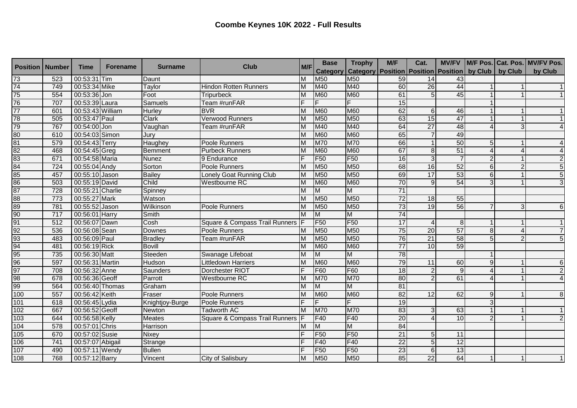| <b>Position</b>                              | <b>Number</b>    | <b>Time</b>      | <b>Forename</b> | <b>Surname</b>  | <b>Club</b>                               | M/F | <b>Base</b>     | <b>Trophy</b>                                                 | M/F             | Cat.            |                 |                |                | MV/FV   M/F Pos.   Cat. Pos.   MV/FV Pos. |
|----------------------------------------------|------------------|------------------|-----------------|-----------------|-------------------------------------------|-----|-----------------|---------------------------------------------------------------|-----------------|-----------------|-----------------|----------------|----------------|-------------------------------------------|
|                                              |                  |                  |                 |                 |                                           |     | <b>Category</b> | Category   Position   Position   Position   by Club   by Club |                 |                 |                 |                |                | by Club                                   |
| $\overline{73}$                              | 523              | 00:53:31 Tim     |                 | Daunt           |                                           | M   | <b>M50</b>      | M50                                                           | 59              | 14              | 43              |                |                |                                           |
| $\overline{74}$                              | 749              | 00:53:34 Mike    |                 | Taylor          | <b>Hindon Rotten Runners</b>              | M   | M40             | M40                                                           | 60              | 26              | 44              |                |                | 1                                         |
| 75                                           | 554              | 00:53:36 Jon     |                 | Foot            | <b>Tripurbeck</b>                         | M   | <b>M60</b>      | <b>M60</b>                                                    | 61              | 5 <sup>1</sup>  | 45              |                |                |                                           |
| 76                                           | 707              | 00:53:39 Laura   |                 | Samuels         | Team #runFAR                              |     | F               | F                                                             | 15              |                 |                 |                |                |                                           |
| $\overline{77}$                              | 601              | 00:53:43 William |                 | Hurley          | <b>BVR</b>                                | M   | <b>M60</b>      | <b>M60</b>                                                    | 62              | 6 <sup>1</sup>  | 46              |                |                | 1                                         |
| 78                                           | 505              | 00:53:47 Paul    |                 | <b>Clark</b>    | <b>Verwood Runners</b>                    | M   | M50             | M50                                                           | 63              | 15              | 47              |                |                | 1                                         |
| 79                                           | 767              | 00:54:00 Jon     |                 | Vaughan         | Team #runFAR                              | M   | M40             | M40                                                           | 64              | $\overline{27}$ | 48              |                | 3              | $\overline{4}$                            |
| $\frac{80}{81}$                              | 610              | 00:54:03 Simon   |                 | Jury            |                                           | M   | <b>M60</b>      | <b>M60</b>                                                    | 65              |                 | 49              |                |                |                                           |
|                                              | 579              | 00:54:43 Terry   |                 | Haughey         | Poole Runners                             | M   | M70             | <b>M70</b>                                                    | 66              |                 | 50              |                |                | $\overline{4}$                            |
|                                              | 468              | 00:54:45 Greg    |                 | Bemment         | <b>Purbeck Runners</b>                    | M   | M60             | M60                                                           | 67              | 8               | 51              |                |                | $\overline{4}$                            |
|                                              | 671              | 00:54:58 Maria   |                 | <b>Nunez</b>    | 9 Endurance                               | E   | F <sub>50</sub> | F <sub>50</sub>                                               | 16              | 3               |                 |                |                | $\overline{2}$                            |
|                                              | 724              | 00:55:04 Andy    |                 | Sorton          | Poole Runners                             | M   | M50             | M50                                                           | 68              | 16              | 52              | 6              |                | 5                                         |
|                                              | 457              | 00:55:10 Jason   |                 | <b>Bailey</b>   | Lonely Goat Running Club                  | M   | M50             | M <sub>50</sub>                                               | 69              | 17              | $\overline{53}$ | 6              |                | 5 <sup>1</sup>                            |
| 82<br>83<br>84<br>85<br>85<br>86<br>87       | 503              | 00:55:19 David   |                 | Child           | <b>Westbourne RC</b>                      | M   | <b>M60</b>      | <b>M60</b>                                                    | 70              | 9               | 54              |                |                | $\overline{3}$                            |
|                                              | 728              | 00:55:21 Charlie |                 | Spinney         |                                           | M   | M               | M                                                             | 71              |                 |                 |                |                |                                           |
| 88                                           | 773              | 00:55:27 Mark    |                 | Watson          |                                           | M   | M50             | M50                                                           | $\overline{72}$ | 18              | 55              |                |                |                                           |
|                                              | 781              | 00:55:52 Jason   |                 | Wilkinson       | Poole Runners                             | M   | M50             | M50                                                           | 73              | 19              | 56              |                | 3              | 6 <sup>1</sup>                            |
| 89<br>90                                     | $\overline{717}$ | 00:56:01 Harry   |                 | Smith           |                                           | M   | M               | M                                                             | $\overline{74}$ |                 |                 |                |                |                                           |
| 91<br>92<br>93<br>94<br>95<br>96<br>97<br>98 | $\overline{512}$ | 00:56:07 Dawn    |                 | Cosh            | Square & Compass Trail Runners F          |     | F <sub>50</sub> | F <sub>50</sub>                                               | 17              |                 |                 |                |                | $\vert$ 1                                 |
|                                              | 536              | 00:56:08 Sean    |                 | Downes          | Poole Runners                             | M   | M50             | M <sub>50</sub>                                               | 75              | 20              | 57              | 8 <sup>1</sup> |                | $\overline{7}$                            |
|                                              | 483              | 00:56:09 Paul    |                 | <b>Bradley</b>  | Team #runFAR                              | M   | M50             | M50                                                           | 76              | $\overline{21}$ | 58              |                | $\overline{2}$ | $\overline{5}$                            |
|                                              | 481              | 00:56:19 Rick    |                 | <b>Bovill</b>   |                                           | M   | <b>M60</b>      | M60                                                           | $\overline{77}$ | 10              | 59              |                |                |                                           |
|                                              | 735              | 00:56:30 Matt    |                 | Steeden         | Swanage Lifeboat                          | M   | M               | M                                                             | 78              |                 |                 |                |                |                                           |
|                                              | 597              | 00:56:31 Martin  |                 | Hudson          | <b>Littledown Harriers</b>                | M   | <b>M60</b>      | <b>M60</b>                                                    | 79              | 11              | 60              | 9              |                | 6 <sup>1</sup>                            |
|                                              | 708              | 00:56:32 Anne    |                 | Saunders        | Dorchester RIOT                           |     | F60             | F60                                                           | $\overline{18}$ | $\overline{2}$  |                 |                |                | $\overline{2}$                            |
|                                              | 678              | 00:56:36 Geoff   |                 | Parrott         | Westbourne RC                             | M   | M70             | M70                                                           | 80              | $\mathcal{P}$   | 61              |                |                | $\overline{4}$                            |
| 99                                           | 564              | 00:56:40 Thomas  |                 | Graham          |                                           | M   | M               | M                                                             | 81              |                 |                 |                |                |                                           |
| 100                                          | 557              | 00:56:42 Keith   |                 | Fraser          | <b>Poole Runners</b>                      | M   | <b>M60</b>      | <b>M60</b>                                                    | $\overline{82}$ | 12              | 62              | 9              |                | 8 <sup>1</sup>                            |
| 101                                          | 618              | 00:56:45 Lydia   |                 | Knightjoy-Burge | Poole Runners                             |     | E               | F                                                             | 19              |                 |                 | $\mathbf{R}$   |                |                                           |
| 102                                          | 667              | 00:56:52 Geoff   |                 | Newton          | <b>Tadworth AC</b>                        | M   | <b>M70</b>      | <b>M70</b>                                                    | 83              | $\overline{3}$  | 63              |                |                | 1                                         |
| 103                                          | 644              | 00:56:58 Kelly   |                 | <b>Meates</b>   | <b>Square &amp; Compass Trail Runners</b> |     | F40             | F40                                                           | $\overline{20}$ |                 | 10              |                |                | $\overline{2}$                            |
| 104                                          | $\overline{578}$ | 00:57:01 Chris   |                 | Harrison        |                                           | M   | M               | M                                                             | 84              |                 |                 |                |                |                                           |
| 105                                          | 670              | 00:57:02 Susie   |                 | <b>Nixey</b>    |                                           |     | F <sub>50</sub> | F <sub>50</sub>                                               | 21              | 5               | 11              |                |                |                                           |
| 106                                          | 741              | 00:57:07 Abigail |                 | Strange         |                                           |     | F40             | F40                                                           | $\overline{22}$ | 5               | 12              |                |                |                                           |
| 107                                          | 490              | 00:57:11 Wendy   |                 | <b>Bullen</b>   |                                           |     | F <sub>50</sub> | F <sub>50</sub>                                               | 23              | 6               | $\overline{13}$ |                |                |                                           |
| 108                                          | 768              | 00:57:12 Barry   |                 | Vincent         | City of Salisbury                         | M   | <b>M50</b>      | M50                                                           | 85              | $\overline{22}$ | 64              |                |                |                                           |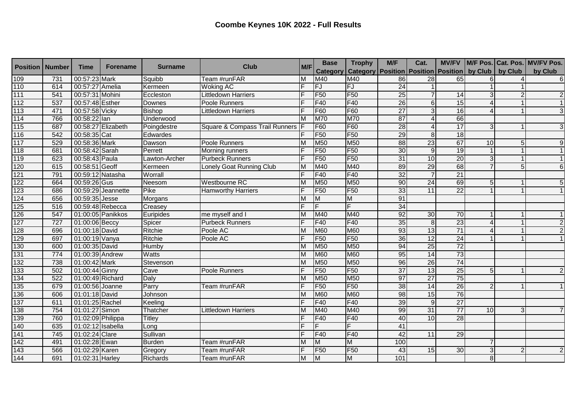| <b>Position   Number</b> |     | <b>Time</b>       | <b>Forename</b>    | <b>Surname</b> | <b>Club</b>                        | M/F | <b>Base</b>     | <b>Trophy</b>                                                 | M/F             | Cat.            |                 |    |   | MV/FV   M/F Pos.   Cat. Pos.   MV/FV Pos. |
|--------------------------|-----|-------------------|--------------------|----------------|------------------------------------|-----|-----------------|---------------------------------------------------------------|-----------------|-----------------|-----------------|----|---|-------------------------------------------|
|                          |     |                   |                    |                |                                    |     | <b>Category</b> | Category   Position   Position   Position   by Club   by Club |                 |                 |                 |    |   | by Club                                   |
| 109                      | 731 | 00:57:23 Mark     |                    | Squibb         | Team #runFAR                       | M   | M40             | M40                                                           | 86              | $\overline{28}$ | 65              |    |   | 6                                         |
| 110                      | 614 | 00:57:27 Amelia   |                    | Kermeen        | <b>Woking AC</b>                   |     | FJ              | FJ                                                            | $\overline{24}$ |                 |                 |    |   |                                           |
| 111                      | 541 | 00:57:31 Mohini   |                    | Eccleston      | <b>Littledown Harriers</b>         |     | F <sub>50</sub> | F <sub>50</sub>                                               | 25              |                 | 14              |    |   | $\overline{2}$                            |
| 112                      | 537 | 00:57:48 Esther   |                    | Downes         | Poole Runners                      |     | F40             | F40                                                           | 26              | 6 <sup>1</sup>  | 15              |    |   | 1                                         |
| 113                      | 471 | 00:57:58 Vicky    |                    | <b>Bishop</b>  | <b>Littledown Harriers</b>         |     | F60             | F60                                                           | $\overline{27}$ | $\overline{3}$  | $\overline{16}$ |    |   | 3 <sup>1</sup>                            |
| 114                      | 766 | 00:58:22 lan      |                    | Underwood      |                                    | M   | <b>M70</b>      | <b>M70</b>                                                    | 87              |                 | 66              |    |   |                                           |
| 115                      | 687 |                   | 00:58:27 Elizabeth | Poingdestre    | Square & Compass Trail Runners   F |     | F60             | F60                                                           | 28              |                 | $\overline{17}$ |    |   | 3                                         |
| 116                      | 542 | 00:58:35 Cat      |                    | Edwardes       |                                    |     | F <sub>50</sub> | F <sub>50</sub>                                               | 29              | 8 <sup>1</sup>  | 18              |    |   |                                           |
| $117$                    | 529 | 00:58:36 Mark     |                    | Dawson         | Poole Runners                      | M   | M50             | <b>M50</b>                                                    | 88              | 23              | 67              | 10 | 5 | $\overline{9}$                            |
| 118                      | 681 | 00:58:42 Sarah    |                    | Perrett        | Morning runners                    |     | F <sub>50</sub> | F <sub>50</sub>                                               | 30              | 9               | 19              |    |   | 1                                         |
| 119                      | 623 | 00:58:43 Paula    |                    | Lawton-Archer  | <b>Purbeck Runners</b>             | E   | F <sub>50</sub> | F <sub>50</sub>                                               | 31              | 10              | 20              |    |   | 1 <sup>1</sup>                            |
| 120                      | 615 | 00:58:51 Geoff    |                    | Kermeen        | Lonely Goat Running Club           | M   | M40             | M40                                                           | 89              | 29              | 68              |    | 5 | 6 <sup>1</sup>                            |
| 121                      | 791 | 00:59:12 Natasha  |                    | Worrall        |                                    | F   | F40             | F40                                                           | $\overline{32}$ | $\overline{7}$  | 21              |    |   |                                           |
| 122                      | 664 | 00:59:26 Gus      |                    | Neesom         | <b>Westbourne RC</b>               | M   | M50             | M <sub>50</sub>                                               | 90              | 24              | 69              |    |   | 5 <sub>5</sub>                            |
| 123                      | 686 |                   | 00:59:29 Jeannette | Pike           | <b>Hamworthy Harriers</b>          |     | F <sub>50</sub> | F <sub>50</sub>                                               | 33              | 11              | $\overline{22}$ |    |   |                                           |
| 124                      | 656 | 00:59:35 Jesse    |                    | Morgans        |                                    | M   | M               | M                                                             | 91              |                 |                 |    |   |                                           |
| 125                      | 516 | 00:59:48 Rebecca  |                    | Creasey        |                                    |     | F               | F                                                             | 34              |                 |                 |    |   |                                           |
| 126                      | 547 |                   | 01:00:05 Panikkos  | Euripides      | me myself and I                    | M   | M40             | M40                                                           | 92              | 30              | 70              |    |   |                                           |
| 127                      | 727 | 01:00:06 Beccy    |                    | Spicer         | <b>Purbeck Runners</b>             |     | F40             | F40                                                           | 35              | 8 <sup>1</sup>  | 23              |    |   | $\overline{2}$                            |
| 128                      | 696 | 01:00:18 David    |                    | Ritchie        | Poole AC                           | M   | <b>M60</b>      | <b>M60</b>                                                    | 93              | 13              | $\overline{71}$ |    |   | $\overline{2}$                            |
| 129                      | 697 | 01:00:19 Vanya    |                    | Ritchie        | Poole AC                           |     | F <sub>50</sub> | F <sub>50</sub>                                               | 36              | 12              | $\overline{24}$ |    |   |                                           |
| 130                      | 600 | 01:00:35 David    |                    | Humby          |                                    | M   | M50             | M50                                                           | 94              | 25              | $\overline{72}$ |    |   |                                           |
| 131                      | 774 | 01:00:39 Andrew   |                    | Watts          |                                    | M   | M60             | M60                                                           | 95              | $\overline{14}$ | 73              |    |   |                                           |
| 132                      | 738 | 01:00:42 Mark     |                    | Stevenson      |                                    | M   | M50             | M50                                                           | 96              | $\overline{26}$ | 74              |    |   |                                           |
| 133                      | 502 | 01:00:44 Ginny    |                    | Cave           | Poole Runners                      |     | F <sub>50</sub> | F <sub>50</sub>                                               | $\overline{37}$ | 13              | $\overline{25}$ |    |   | $\overline{2}$                            |
| 134                      | 522 | 01:00:49 Richard  |                    | Daly           |                                    | M   | M50             | M50                                                           | 97              | $\overline{27}$ | $\overline{75}$ |    |   |                                           |
| 135                      | 679 | 01:00:56 Joanne   |                    | Parry          | Team #runFAR                       |     | F <sub>50</sub> | F <sub>50</sub>                                               | 38              | 14              | 26              |    |   |                                           |
| 136                      | 606 | 01:01:18 David    |                    | Johnson        |                                    | M   | <b>M60</b>      | <b>M60</b>                                                    | $\overline{98}$ | 15              | 76              |    |   |                                           |
| 137                      | 611 | 01:01:25 Rachel   |                    | Keeling        |                                    |     | F40             | F40                                                           | 39              | 9 <sub>l</sub>  | $\overline{27}$ |    |   |                                           |
| 138                      | 754 | 01:01:27 Simon    |                    | Thatcher       | <b>Littledown Harriers</b>         | M   | M40             | M40                                                           | 99              | 31              | $\overline{77}$ | 10 | 3 | $\overline{7}$                            |
| 139                      | 760 | 01:02:09 Philippa |                    | <b>Titley</b>  |                                    |     | F40             | F40                                                           | 40              | $\overline{10}$ | 28              |    |   |                                           |
| 140                      | 635 | 01:02:12 Isabella |                    | Long           |                                    |     | F               | ιĒ                                                            | 41              |                 |                 |    |   |                                           |
| 141                      | 745 | 01:02:24 Clare    |                    | Sullivan       |                                    | Ē   | F40             | F40                                                           | 42              | 11              | 29              |    |   |                                           |
| 142                      | 491 | 01:02:28 Ewan     |                    | <b>Burden</b>  | Team #runFAR                       | M   | M               | M                                                             | 100             |                 |                 |    |   |                                           |
| 143                      | 566 | 01:02:29 Karen    |                    | Gregory        | Team #runFAR                       | F   | F <sub>50</sub> | F <sub>50</sub>                                               | 43              | 15              | 30              |    |   | $\overline{2}$                            |
| 144                      | 691 | 01:02:31 Harley   |                    | Richards       | Team #runFAR                       | M   | M               | M                                                             | 101             |                 |                 |    |   |                                           |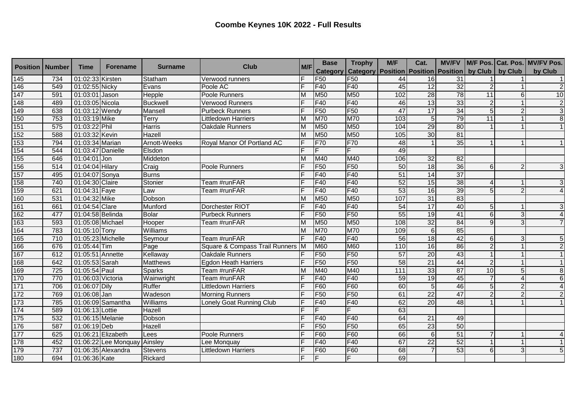| <b>Position</b> | <b>Number</b> | <b>Time</b>       | <b>Forename</b>      | <b>Surname</b>  | <b>Club</b>                      | M/F | <b>Base</b>     | <b>Trophy</b>                                                 | M/F              | Cat.            |                 |                |                | MV/FV   M/F Pos.   Cat. Pos.   MV/FV Pos. |
|-----------------|---------------|-------------------|----------------------|-----------------|----------------------------------|-----|-----------------|---------------------------------------------------------------|------------------|-----------------|-----------------|----------------|----------------|-------------------------------------------|
|                 |               |                   |                      |                 |                                  |     | <b>Category</b> | Category   Position   Position   Position   by Club   by Club |                  |                 |                 |                |                | by Club                                   |
| 145             | 734           | 01:02:33 Kirsten  |                      | Statham         | Verwood runners                  | E   | F <sub>50</sub> | F <sub>50</sub>                                               | 44               | 16              | $\overline{31}$ |                |                | 1                                         |
| 146             | 549           | 01:02:55 Nicky    |                      | Evans           | Poole AC                         |     | F40             | F40                                                           | 45               | $\overline{12}$ | $\overline{32}$ |                |                | $\overline{2}$                            |
| 147             | 591           | 01:03:01 Jason    |                      | Hepple          | Poole Runners                    | M   | M50             | M50                                                           | 102              | 28              | 78              | 11             |                | 10                                        |
| 148             | 489           | 01:03:05 Nicola   |                      | <b>Buckwell</b> | <b>Verwood Runners</b>           |     | F40             | F40                                                           | 46               | 13              | 33              | $\overline{2}$ |                | $\overline{2}$                            |
| 149             | 638           | 01:03:12 Wendy    |                      | Mansell         | <b>Purbeck Runners</b>           |     | F <sub>50</sub> | F <sub>50</sub>                                               | 47               | $\overline{17}$ | 34              | 5 <sub>l</sub> | $\overline{2}$ | $\mathbf{3}$                              |
| 150             | 753           | 01:03:19 Mike     |                      | Terry           | <b>Littledown Harriers</b>       | M   | <b>M70</b>      | M70                                                           | 103              | 5 <sup>1</sup>  | 79              | 11             |                | $\infty$                                  |
| 151             | 575           | 01:03:22 Phil     |                      | <b>Harris</b>   | <b>Oakdale Runners</b>           | M   | M50             | M50                                                           | 104              | 29              | 80              |                |                | 1                                         |
| 152             | 588           | 01:03:32 Kevin    |                      | Hazell          |                                  | M   | M50             | M <sub>50</sub>                                               | 105              | 30              | 81              |                |                |                                           |
| 153             | 794           | 01:03:34 Marian   |                      | Arnott-Weeks    | Royal Manor Of Portland AC       | IF  | F70             | <b>F70</b>                                                    | 48               |                 | $\overline{35}$ |                |                | $\vert$ 1                                 |
| 154             | 544           | 01:03:47 Danielle |                      | Elsdon          |                                  |     | F               | $\overline{F}$                                                | 49               |                 |                 |                |                |                                           |
| 155             | 646           | 01:04:01 Jon      |                      | Middeton        |                                  | M   | M40             | M40                                                           | 106              | 32              | 82              |                |                |                                           |
| 156             | 514           | 01:04:04 Hilary   |                      | Craig           | Poole Runners                    | Е   | F <sub>50</sub> | F <sub>50</sub>                                               | 50               | 18              | $\overline{36}$ | 6              | 2              | $\overline{3}$                            |
| 157             | 495           | 01:04:07 Sonya    |                      | <b>Burns</b>    |                                  |     | F40             | F40                                                           | $\overline{51}$  | 14              | $\overline{37}$ |                |                |                                           |
| 158             | 740           | 01:04:30 Claire   |                      | Stonier         | Team #runFAR                     |     | F40             | F40                                                           | 52               | 15              | 38              |                |                | $\mathbf{3}$                              |
| 159             | 621           | 01:04:31 Faye     |                      | Law             | Team #runFAR                     |     | F40             | F40                                                           | 53               | 16              | 39              | 5              | $\mathcal{P}$  | $\overline{4}$                            |
| 160             | 531           | 01:04:32 Mike     |                      | Dobson          |                                  | M   | M50             | M50                                                           | 107              | 31              | 83              |                |                |                                           |
| 161             | 661           | 01:04:54 Clare    |                      | Munford         | Dorchester RIOT                  |     | F40             | F40                                                           | 54               | 17              | 40              |                |                | ω                                         |
| 162             | 477           | 01:04:58 Belinda  |                      | <b>Bolar</b>    | <b>Purbeck Runners</b>           |     | F <sub>50</sub> | F <sub>50</sub>                                               | 55               | 19              | 41              | $6 \mid$       | 3              | $\overline{4}$                            |
| 163             | 593           | 01:05:08 Michael  |                      | Hooper          | Team #runFAR                     | M   | M50             | M50                                                           | 108              | 32              | 84              | $\mathsf{Q}$   | 3              | $\overline{7}$                            |
| 164             | 783           | 01:05:10 Tony     |                      | Williams        |                                  | M   | M70             | M70                                                           | 109              | 6               | 85              |                |                |                                           |
| 165             | 710           | 01:05:23 Michelle |                      | Seymour         | Team #runFAR                     |     | F40             | F40                                                           | 56               | 18              | 42              | 6              | 3              | 5 <sub>5</sub>                            |
| 166             | 676           | 01:05:44 Tim      |                      | Page            | Square & Compass Trail Runners M |     | <b>M60</b>      | M60                                                           | 110              | 16              | 86              |                |                | $\overline{2}$                            |
| 167             | 612           | 01:05:51 Annette  |                      | Kellaway        | <b>Oakdale Runners</b>           |     | F <sub>50</sub> | F <sub>50</sub>                                               | 57               | 20              | 43              |                |                | 1                                         |
| 168             | 642           | 01:05:53 Sarah    |                      | <b>Matthews</b> | <b>Egdon Heath Harriers</b>      |     | F <sub>50</sub> | F <sub>50</sub>                                               | 58               | $\overline{21}$ | 44              |                |                | 1                                         |
| 169             | 725           | 01:05:54 Paul     |                      | Sparks          | Team #runFAR                     | M   | M40             | M40                                                           | $\overline{111}$ | 33              | $\overline{87}$ | 10             | 5              | $\boldsymbol{8}$                          |
| 170             | 770           | 01:06:03 Victoria |                      | Wainwright      | Team #runFAR                     |     | F40             | F40                                                           | 59               | 19              | 45              |                |                | 6 <sup>1</sup>                            |
| 171             | 706           | 01:06:07 Dily     |                      | Ruffer          | <b>Littledown Harriers</b>       |     | F60             | F60                                                           | 60               | 5 <sub>l</sub>  | 46              | 5              | $\overline{2}$ |                                           |
| 172             | 769           | 01:06:08 Jan      |                      | Wadeson         | <b>Morning Runners</b>           |     | F <sub>50</sub> | F <sub>50</sub>                                               | 61               | $\overline{22}$ | 47              |                | $\overline{2}$ | $\overline{2}$                            |
| 173             | 785           |                   | 01:06:09 Samantha    | <b>Williams</b> | Lonely Goat Running Club         |     | F40             | F40                                                           | 62               | $\overline{20}$ | 48              |                |                |                                           |
| 174             | 589           | 01:06:13 Lottie   |                      | Hazell          |                                  |     | IF              | F                                                             | 63               |                 |                 |                |                |                                           |
| 175             | 532           | 01:06:15 Melanie  |                      | Dobson          |                                  |     | F40             | F40                                                           | 64               | $\overline{21}$ | 49              |                |                |                                           |
| 176             | 587           | 01:06:19 Deb      |                      | Hazell          |                                  |     | F <sub>50</sub> | F <sub>50</sub>                                               | 65               | $\overline{23}$ | 50              |                |                |                                           |
| 177             | 625           |                   | 01:06:21 Elizabeth   | Lees            | Poole Runners                    |     | F60             | F60                                                           | 66               | 6 <sup>1</sup>  | 51              |                |                | $\vert$                                   |
| 178             | 452           |                   | 01:06:22 Lee Monquay | Ainsley         | Lee Monquay                      |     | F40             | F40                                                           | 67               | $\overline{22}$ | 52              |                |                | 1                                         |
| 179             | 737           |                   | 01:06:35 Alexandra   | <b>Stevens</b>  | <b>Littledown Harriers</b>       |     | F60             | F60                                                           | 68               |                 | 53              | 6              | 3              | 5 <sup>1</sup>                            |
| 180             | 694           | 01:06:36 Kate     |                      | Rickard         |                                  |     | F               | F                                                             | 69               |                 |                 |                |                |                                           |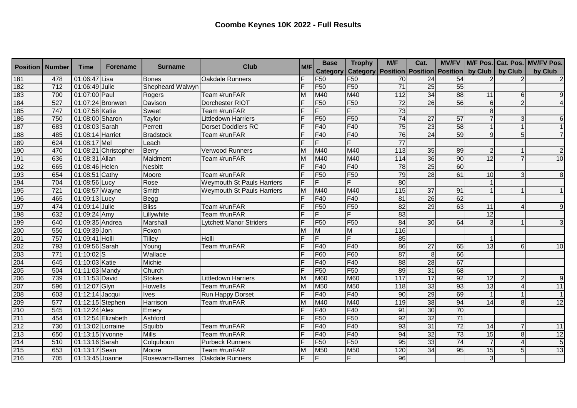| <b>Position</b>                               | <b>Number</b> | <b>Time</b>       | <b>Forename</b>      | <b>Surname</b>   | <b>Club</b>                       | M/F | <b>Base</b>     | <b>Trophy</b>                                                 | M/F               | Cat.            |                 |                 |                | MV/FV   M/F Pos. Cat. Pos.   MV/FV Pos. |
|-----------------------------------------------|---------------|-------------------|----------------------|------------------|-----------------------------------|-----|-----------------|---------------------------------------------------------------|-------------------|-----------------|-----------------|-----------------|----------------|-----------------------------------------|
|                                               |               |                   |                      |                  |                                   |     | <b>Category</b> | Category   Position   Position   Position   by Club   by Club |                   |                 |                 |                 |                | by Club                                 |
| 181                                           | 478           | 01:06:47 Lisa     |                      | Bones            | <b>Oakdale Runners</b>            |     | F <sub>50</sub> | F <sub>50</sub>                                               | 70                | $\overline{24}$ | 54              |                 |                | 2                                       |
| 182                                           | 712           | 01:06:49 Julie    |                      | Shepheard Walwyn |                                   |     | F <sub>50</sub> | F <sub>50</sub>                                               | $\overline{71}$   | 25              | 55              |                 |                |                                         |
| 183                                           | 700           | 01:07:00 Paul     |                      | Rogers           | Team #runFAR                      | M   | M40             | M40                                                           | 112               | 34              | $\overline{88}$ | 11              | 6              | 9                                       |
| 184                                           | 527           |                   | 01:07:24 Bronwen     | Davison          | Dorchester RIOT                   |     | F <sub>50</sub> | F <sub>50</sub>                                               | $\overline{72}$   | 26              | 56              | 6               | $\mathcal{P}$  | $\vert$                                 |
| 185                                           | 747           | 01:07:58 Katie    |                      | Sweet            | Team #runFAR                      |     | F               | F                                                             | 73                |                 |                 |                 |                |                                         |
| 186                                           | 750           | 01:08:00 Sharon   |                      | Taylor           | <b>Littledown Harriers</b>        |     | F <sub>50</sub> | F <sub>50</sub>                                               | 74                | $\overline{27}$ | $\overline{57}$ |                 | 3              | $6 \mid$                                |
| 187                                           | 683           | 01:08:03 Sarah    |                      | Perrett          | <b>Dorset Doddlers RC</b>         |     | F40             | F40                                                           | 75                | 23              | 58              |                 |                | 1                                       |
| 188                                           | 485           | 01:08:14 Harriet  |                      | <b>Bradstock</b> | Team #runFAR                      |     | F40             | F40                                                           | 76                | 24              | 59              | $\Omega$        | 5              | $\overline{7}$                          |
| 189                                           | 624           | 01:08:17 Mel      |                      | Leach            |                                   | Е   | F               | F                                                             | $\overline{77}$   |                 |                 |                 |                |                                         |
| 190                                           | 470           |                   | 01:08:21 Christopher | Berry            | Verwood Runners                   | M   | M40             | M40                                                           | $\frac{113}{113}$ | 35              | 89              |                 |                | $\overline{2}$                          |
| 191                                           | 636           | 01:08:31 Allan    |                      | Maidment         | Team #runFAR                      | M   | M40             | M40                                                           | 114               | 36              | 90              | 12              |                | 10                                      |
| 192                                           | 665           | 01:08:46 Helen    |                      | <b>Nesbitt</b>   |                                   |     | F40             | F40                                                           | 78                | 25              | $\overline{60}$ |                 |                |                                         |
| 193                                           | 654           | 01:08:51 Cathy    |                      | Moore            | Team #runFAR                      |     | F <sub>50</sub> | F <sub>50</sub>                                               | 79                | 28              | 61              | 10              |                | $\overline{8}$                          |
| 194                                           | 704           | 01:08:56 Lucy     |                      | Rose             | <b>Weymouth St Pauls Harriers</b> | F   | F.              | F.                                                            | 80                |                 |                 |                 |                |                                         |
| 195                                           | 721           | 01:08:57 Wayne    |                      | Smith            | <b>Weymouth St Pauls Harriers</b> | M   | M40             | M40                                                           | 115               | $\overline{37}$ | 91              |                 |                | 1 <sup>1</sup>                          |
| 196                                           | 465           | 01:09:13 Lucy     |                      | <b>Begg</b>      |                                   |     | F40             | F40                                                           | 81                | 26              | 62              |                 |                |                                         |
| 197                                           | 474           | 01:09:14 Julie    |                      | <b>Bliss</b>     | Team #runFAR                      |     | F <sub>50</sub> | F <sub>50</sub>                                               | $\overline{82}$   | 29              | 63              | 11              |                | 9                                       |
| 198                                           | 632           | 01:09:24 Amy      |                      | Lillywhite       | Team #runFAR                      |     | F               | F                                                             | 83                |                 |                 | 12              |                |                                         |
| 199                                           | 640           | 01:09:35 Andrea   |                      | Marshall         | Lytchett Manor Striders           |     | F <sub>50</sub> | F <sub>50</sub>                                               | 84                | 30              | 64              |                 |                | 3                                       |
| 200                                           | 556           | 01:09:39 Jon      |                      | Foxon            |                                   |     | M               | M                                                             | 116               |                 |                 |                 |                |                                         |
|                                               | 757           | 01:09:41 Holli    |                      | Tilley           | Holli                             |     | F               | Ē                                                             | $\overline{85}$   |                 |                 |                 |                |                                         |
|                                               | 793           | 01:09:56 Sarah    |                      | Young            | Team #runFAR                      |     | <b>F40</b>      | F40                                                           | 86                | $\overline{27}$ | 65              | $\overline{13}$ | 6              | 10                                      |
|                                               | 771           | $01:10:02$ S      |                      | Wallace          |                                   |     | F60             | F60                                                           | $\overline{87}$   | 8               | 66              |                 |                |                                         |
|                                               | 645           | 01:10:03 Katie    |                      | <b>Michie</b>    |                                   |     | F40             | F40                                                           | 88                | $\overline{28}$ | 67              |                 |                |                                         |
|                                               | 504           | 01:11:03 Mandy    |                      | Church           |                                   |     | F <sub>50</sub> | F <sub>50</sub>                                               | 89                | $\overline{31}$ | 68              |                 |                |                                         |
| 201<br>202<br>203<br>204<br>205<br>206<br>207 | 739           | 01:11:53 David    |                      | <b>Stokes</b>    | <b>Littledown Harriers</b>        | M   | <b>M60</b>      | M60                                                           | 117               | $\overline{17}$ | 92              | 12              |                | 9                                       |
|                                               | 596           | 01:12:07 Glyn     |                      | Howells          | Team #runFAR                      | M   | M50             | M50                                                           | 118               | 33              | 93              | 13              |                | 11                                      |
| 208                                           | 603           | 01:12:14 Jacqui   |                      | <b>Ives</b>      | <b>Run Happy Dorset</b>           |     | F40             | F40                                                           | 90                | 29              | 69              |                 |                | 1                                       |
| 209                                           | 577           | 01:12:15 Stephen  |                      | Harrison         | Team #runFAR                      | M   | M40             | M40                                                           | 119               | 38              | 94              | 14              | 8              | 12                                      |
| 210                                           | 545           | 01:12:24 Alex     |                      | Emery            |                                   |     | F40             | F40                                                           | 91                | 30              | 70              |                 |                |                                         |
| 211                                           | 454           |                   | 01:12:54 Elizabeth   | Ashford          |                                   |     | F <sub>50</sub> | F <sub>50</sub>                                               | 92                | 32              | $\overline{71}$ |                 |                |                                         |
| 212                                           | 730           | 01:13:02 Lorraine |                      | Squibb           | Team #runFAR                      |     | F40             | F40                                                           | $\overline{93}$   | 31              | 72              | 14              |                | 11                                      |
| 213                                           | 650           | 01:13:15 Yvonne   |                      | <b>Mills</b>     | Team #runFAR                      |     | <b>F40</b>      | F40                                                           | 94                | 32              | 73              | 15              | $\overline{8}$ | 12                                      |
| 214                                           | 510           | 01:13:16 Sarah    |                      | Colquhoun        | <b>Purbeck Runners</b>            |     | F <sub>50</sub> | F <sub>50</sub>                                               | 95                | 33              | 74              |                 | $\Delta$       | 5 <sub>5</sub>                          |
| 215                                           | 653           | 01:13:17 Sean     |                      | Moore            | Team #runFAR                      | M   | M50             | M50                                                           | 120               | 34              | 95              | 15              |                | 13                                      |
| 216                                           | 705           | 01:13:45 Joanne   |                      | Rosewarn-Barnes  | <b>Oakdale Runners</b>            | F   | F               | F                                                             | 96                |                 |                 |                 |                |                                         |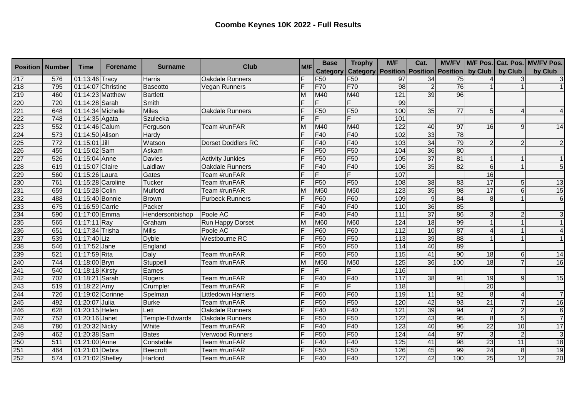| <b>Position   Number</b>        |                  | <b>Time</b>       | <b>Forename</b>    | <b>Surname</b>  | <b>Club</b>                | M/F | <b>Base</b>     | <b>Trophy</b>                                                 | M/F               | Cat.            |                 |                 |                 | MV/FV   M/F Pos.   Cat. Pos.   MV/FV Pos. |
|---------------------------------|------------------|-------------------|--------------------|-----------------|----------------------------|-----|-----------------|---------------------------------------------------------------|-------------------|-----------------|-----------------|-----------------|-----------------|-------------------------------------------|
|                                 |                  |                   |                    |                 |                            |     | <b>Category</b> | Category   Position   Position   Position   by Club   by Club |                   |                 |                 |                 |                 | by Club                                   |
|                                 | 576              | 01:13:46 Tracy    |                    | <b>Harris</b>   | <b>Oakdale Runners</b>     |     | F <sub>50</sub> | F <sub>50</sub>                                               | 97                | 34              | 75              |                 |                 | 3 <sup>1</sup>                            |
|                                 | 795              |                   | 01:14:07 Christine | <b>Baseotto</b> | Vegan Runners              |     | <b>F70</b>      | F70                                                           | $\overline{98}$   | $\overline{2}$  | 76              |                 |                 |                                           |
|                                 | 460              | 01:14:23 Matthew  |                    | <b>Bartlett</b> |                            | M   | M40             | M40                                                           | 121               | 39              | 96              |                 |                 |                                           |
|                                 | 720              | 01:14:28 Sarah    |                    | Smith           |                            |     | F               | F                                                             | 99                |                 |                 |                 |                 |                                           |
| 217<br>218<br>219<br>220<br>221 | 648              | 01:14:34 Michelle |                    | <b>Miles</b>    | Oakdale Runners            |     | F <sub>50</sub> | F <sub>50</sub>                                               | 100               | 35              | $\overline{77}$ |                 | 4               | $\overline{4}$                            |
| 222                             | 748              | 01:14:35 Agata    |                    | <b>Szulecka</b> |                            |     | F               | F                                                             | 101               |                 |                 |                 |                 |                                           |
| 223                             | 552              | 01:14:46 Calum    |                    | Ferguson        | Team #runFAR               | M   | M40             | M40                                                           | 122               | 40              | 97              | 16              | 9               | 14                                        |
| 224                             | $\overline{573}$ | 01:14:50 Alison   |                    | Hardy           |                            |     | F40             | F40                                                           | 102               | 33              | 78              |                 |                 |                                           |
| 225                             | 772              | 01:15:01 Jill     |                    | Watson          | <b>Dorset Doddlers RC</b>  | E   | F40             | F40                                                           | 103               | 34              | 79              |                 | $\mathcal{P}$   | $\overline{2}$                            |
| 226                             | 455              | 01:15:02 Sam      |                    | Askam           |                            |     | F <sub>50</sub> | F <sub>50</sub>                                               | 104               | 36              | 80              |                 |                 |                                           |
| 227                             | 526              | 01:15:04 Anne     |                    | Davies          | <b>Activity Junkies</b>    |     | F <sub>50</sub> | F <sub>50</sub>                                               | 105               | $\overline{37}$ | 81              |                 |                 | 1                                         |
|                                 | 619              | 01:15:07 Claire   |                    | Laidlaw         | <b>Oakdale Runners</b>     |     | F40             | F40                                                           | 106               | 35              | 82              | 6               |                 | $\overline{5}$                            |
|                                 | 560              | 01:15:26 Laura    |                    | Gates           | Team #runFAR               | Е   | IF.             | F                                                             | 107               |                 |                 | 16              |                 |                                           |
|                                 | 761              | 01:15:28 Caroline |                    | <b>Tucker</b>   | Team #runFAR               |     | F <sub>50</sub> | F <sub>50</sub>                                               | 108               | $\overline{38}$ | 83              | 17              | 5               | 13                                        |
|                                 | 659              | 01:15:28 Colin    |                    | Mulford         | Team #runFAR               | M   | M50             | M50                                                           | 123               | 35              | 98              | 17              | 6               | 15                                        |
|                                 | 488              | 01:15:40 Bonnie   |                    | <b>Brown</b>    | <b>Purbeck Runners</b>     |     | F60             | F60                                                           | 109               | 9 <sub>l</sub>  | 84              | 8               |                 | $\overline{6}$                            |
|                                 | 675              | 01:16:59 Carrie   |                    | Packer          |                            |     | F40             | F40                                                           | 110               | 36              | 85              |                 |                 |                                           |
|                                 | 590              | 01:17:00 Emma     |                    | Hendersonbishop | Poole AC                   |     | F40             | F40                                                           | 111               | 37              | 86              |                 | 2               | 3                                         |
|                                 | 565              | 01:17:11 Ray      |                    | Graham          | Run Happy Dorset           |     | M60             | M60                                                           | 124               | 18              | 99              |                 |                 | 1                                         |
|                                 | 651              | 01:17:34 Trisha   |                    | <b>Mills</b>    | Poole AC                   |     | F60             | F60                                                           | $\frac{11}{2}$    | 10              | 87              |                 |                 | $\overline{4}$                            |
|                                 | 539              | 01:17:40 Liz      |                    | <b>Dyble</b>    | <b>Westbourne RC</b>       |     | F <sub>50</sub> | F <sub>50</sub>                                               | $\overline{113}$  | 39              | 88              |                 |                 |                                           |
|                                 | 546              | 01:17:52 Jane     |                    | England         |                            |     | F <sub>50</sub> | F <sub>50</sub>                                               | 114               | 40              | 89              |                 |                 |                                           |
|                                 | 521              | 01:17:59 Rita     |                    | Daly            | Team #runFAR               |     | F <sub>50</sub> | F <sub>50</sub>                                               | $\frac{115}{115}$ | 41              | 90              | 18              | 6               | 14                                        |
|                                 | 744              | 01:18:00 Bryn     |                    | Stuppell        | Team #runFAR               | M   | M50             | M50                                                           | $\overline{125}$  | 36              | 100             | 18              |                 | 16                                        |
|                                 | 540              | 01:18:18 Kirsty   |                    | Eames           |                            |     | lF.             | F                                                             | 116               |                 |                 |                 |                 |                                           |
|                                 | 702              | 01:18:21 Sarah    |                    | Rogers          | Team #runFAR               |     | F40             | F40                                                           | 117               | $\overline{38}$ | 91              | 19              | 9               | 15                                        |
|                                 | 519              | 01:18:22 Amy      |                    | Crumpler        | Team #runFAR               |     | F               | F                                                             | 118               |                 |                 | $\overline{20}$ |                 |                                           |
| 244                             | 726              | 01:19:02 Corinne  |                    | Spelman         | <b>Littledown Harriers</b> |     | F <sub>60</sub> | F60                                                           | 119               | 11              | 92              | 8               | 4               | $\overline{7}$                            |
| 245                             | 492              | 01:20:07 Julia    |                    | <b>Burke</b>    | Team #runFAR               |     | F <sub>50</sub> | F <sub>50</sub>                                               | 120               | 42              | $\overline{93}$ | $\overline{21}$ |                 | 16                                        |
| 246                             | 628              | 01:20:15 Helen    |                    | Lett            | <b>Oakdale Runners</b>     |     | F40             | F40                                                           | 121               | 39              | 94              |                 | $\overline{2}$  | 6                                         |
| 247                             | 752              | 01:20:16 Janet    |                    | Temple-Edwards  | Oakdale Runners            |     | F <sub>50</sub> | F <sub>50</sub>                                               | 122               | 43              | 95              | 8               | 5               | $\overline{7}$                            |
| 248                             | 780              | 01:20:32 Nicky    |                    | White           | Team #runFAR               |     | F40             | F40                                                           | 123               | 40              | 96              | $\overline{22}$ | 10              | 17                                        |
| 249                             | 462              | 01:20:38 Sam      |                    | <b>Bates</b>    | <b>Verwood Runners</b>     |     | F <sub>50</sub> | F <sub>50</sub>                                               | 124               | 44              | 97              | 3               | $\overline{2}$  | 3                                         |
| 250                             | 511              | 01:21:00 Anne     |                    | Constable       | Team #runFAR               |     | F40             | F40                                                           | 125               | 41              | 98              | 23              | 11              | 18                                        |
|                                 | 464              | 01:21:01 Debra    |                    | <b>Beecroft</b> | Team #runFAR               |     | F <sub>50</sub> | F <sub>50</sub>                                               | 126               | 45              | 99              | $\overline{24}$ | 8               | 19                                        |
| 251<br>252                      | 574              | 01:21:02 Shelley  |                    | Harford         | Team #runFAR               | F   | F40             | F40                                                           | 127               | 42              | 100             | $\overline{25}$ | $\overline{12}$ | 20                                        |